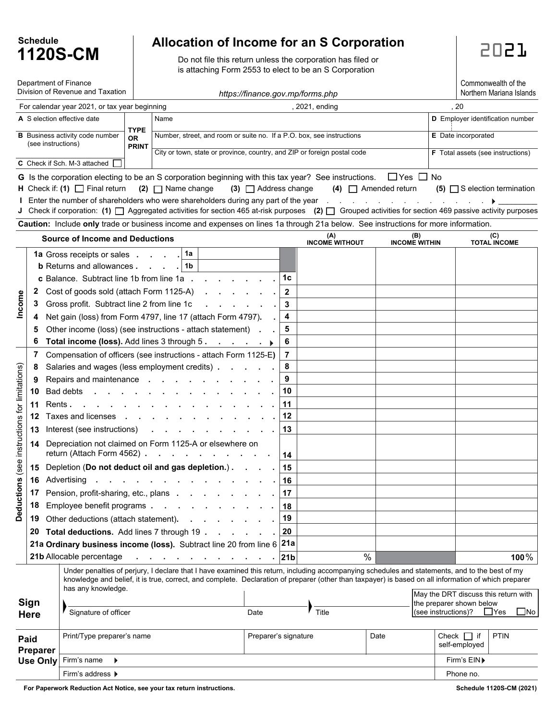| <b>Schedule</b> |          |  |  |  |  |  |  |  |  |
|-----------------|----------|--|--|--|--|--|--|--|--|
|                 | 1120S-CM |  |  |  |  |  |  |  |  |

## **Allocation of Income for an S Corporation**

Do not file this return unless the corporation has filed or is attaching Form 2553 to elect to be an S Corporation

Commonwealth of the

|                                                                    | Department of Finance<br>Division of Revenue and Taxation<br>https://finance.gov.mp/forms.php                  |         |                                                                                   |  |                                                                                                                                                                                                                                                                                                                                                                                                     |                                                                       |                                                             |                      | Commonwealth of the<br>Northern Mariana Islands |                                          |                            |                                                                  |             |              |  |
|--------------------------------------------------------------------|----------------------------------------------------------------------------------------------------------------|---------|-----------------------------------------------------------------------------------|--|-----------------------------------------------------------------------------------------------------------------------------------------------------------------------------------------------------------------------------------------------------------------------------------------------------------------------------------------------------------------------------------------------------|-----------------------------------------------------------------------|-------------------------------------------------------------|----------------------|-------------------------------------------------|------------------------------------------|----------------------------|------------------------------------------------------------------|-------------|--------------|--|
|                                                                    |                                                                                                                |         | For calendar year 2021, or tax year beginning                                     |  |                                                                                                                                                                                                                                                                                                                                                                                                     |                                                                       |                                                             | , 2021, ending       |                                                 |                                          | , 20                       |                                                                  |             |              |  |
|                                                                    | A S election effective date<br>Name                                                                            |         |                                                                                   |  |                                                                                                                                                                                                                                                                                                                                                                                                     |                                                                       |                                                             |                      |                                                 |                                          |                            | <b>D</b> Employer identification number                          |             |              |  |
| <b>TYPE</b><br><b>B</b> Business activity code number<br><b>OR</b> |                                                                                                                |         |                                                                                   |  |                                                                                                                                                                                                                                                                                                                                                                                                     | Number, street, and room or suite no. If a P.O. box, see instructions |                                                             |                      |                                                 |                                          | E Date incorporated        |                                                                  |             |              |  |
|                                                                    | (see instructions)<br><b>PRINT</b><br>City or town, state or province, country, and ZIP or foreign postal code |         |                                                                                   |  |                                                                                                                                                                                                                                                                                                                                                                                                     |                                                                       |                                                             |                      |                                                 | <b>F</b> Total assets (see instructions) |                            |                                                                  |             |              |  |
|                                                                    |                                                                                                                |         | C Check if Sch. M-3 attached                                                      |  |                                                                                                                                                                                                                                                                                                                                                                                                     |                                                                       |                                                             |                      |                                                 |                                          |                            |                                                                  |             |              |  |
|                                                                    |                                                                                                                |         |                                                                                   |  | G Is the corporation electing to be an S corporation beginning with this tax year? See instructions.                                                                                                                                                                                                                                                                                                |                                                                       |                                                             | $\Box$ Yes $\Box$ No |                                                 |                                          |                            |                                                                  |             |              |  |
|                                                                    |                                                                                                                |         | <b>H</b> Check if: (1) $\Box$ Final return                                        |  | $(2)$ $\Box$ Name change                                                                                                                                                                                                                                                                                                                                                                            | $(3)$ $\Box$ Address change                                           |                                                             |                      | $(4)$ $\Box$ Amended return                     |                                          |                            | $(5)$ S election termination                                     |             |              |  |
|                                                                    |                                                                                                                |         |                                                                                   |  | Enter the number of shareholders who were shareholders during any part of the year and the vertex of the vertex of the vertex of the vertex of the vertex of the vertex of the vertex of the vertex of the vertex of the verte<br>J Check if corporation: (1) $\Box$ Aggregated activities for section 465 at-risk purposes (2) $\Box$ Grouped activities for section 469 passive activity purposes |                                                                       |                                                             |                      |                                                 |                                          |                            |                                                                  |             |              |  |
|                                                                    |                                                                                                                |         |                                                                                   |  | Caution: Include only trade or business income and expenses on lines 1a through 21a below. See instructions for more information.                                                                                                                                                                                                                                                                   |                                                                       |                                                             |                      |                                                 |                                          |                            |                                                                  |             |              |  |
|                                                                    |                                                                                                                |         | <b>Source of Income and Deductions</b>                                            |  |                                                                                                                                                                                                                                                                                                                                                                                                     |                                                                       | (A)<br>(B)<br><b>INCOME WITHOUT</b><br><b>INCOME WITHIN</b> |                      |                                                 |                                          | (C)<br><b>TOTAL INCOME</b> |                                                                  |             |              |  |
|                                                                    |                                                                                                                |         | <b>1a</b> Gross receipts or sales                                                 |  | 1a                                                                                                                                                                                                                                                                                                                                                                                                  |                                                                       |                                                             |                      |                                                 |                                          |                            |                                                                  |             |              |  |
|                                                                    |                                                                                                                |         | <b>b</b> Returns and allowances.                                                  |  | 1b                                                                                                                                                                                                                                                                                                                                                                                                  |                                                                       |                                                             |                      |                                                 |                                          |                            |                                                                  |             |              |  |
|                                                                    |                                                                                                                |         | c Balance. Subtract line 1b from line 1a.                                         |  |                                                                                                                                                                                                                                                                                                                                                                                                     |                                                                       | 1c                                                          |                      |                                                 |                                          |                            |                                                                  |             |              |  |
|                                                                    | $\mathbf{z}$                                                                                                   |         | Cost of goods sold (attach Form 1125-A)                                           |  |                                                                                                                                                                                                                                                                                                                                                                                                     |                                                                       | $\mathbf{2}$                                                |                      |                                                 |                                          |                            |                                                                  |             |              |  |
| Income                                                             | 3                                                                                                              |         | Gross profit. Subtract line 2 from line 1c                                        |  |                                                                                                                                                                                                                                                                                                                                                                                                     |                                                                       | 3                                                           |                      |                                                 |                                          |                            |                                                                  |             |              |  |
|                                                                    |                                                                                                                |         |                                                                                   |  | Net gain (loss) from Form 4797, line 17 (attach Form 4797).                                                                                                                                                                                                                                                                                                                                         |                                                                       | 4                                                           |                      |                                                 |                                          |                            |                                                                  |             |              |  |
|                                                                    | 5                                                                                                              |         |                                                                                   |  | Other income (loss) (see instructions - attach statement) .                                                                                                                                                                                                                                                                                                                                         |                                                                       | 5                                                           |                      |                                                 |                                          |                            |                                                                  |             |              |  |
|                                                                    | 6                                                                                                              |         | Total income (loss). Add lines 3 through 5.                                       |  |                                                                                                                                                                                                                                                                                                                                                                                                     | and a state of the                                                    | 6                                                           |                      |                                                 |                                          |                            |                                                                  |             |              |  |
|                                                                    | 7                                                                                                              |         |                                                                                   |  | Compensation of officers (see instructions - attach Form 1125-E)                                                                                                                                                                                                                                                                                                                                    |                                                                       | 7                                                           |                      |                                                 |                                          |                            |                                                                  |             |              |  |
|                                                                    | 8                                                                                                              |         |                                                                                   |  | Salaries and wages (less employment credits).                                                                                                                                                                                                                                                                                                                                                       |                                                                       | 8                                                           |                      |                                                 |                                          |                            |                                                                  |             |              |  |
|                                                                    | 9                                                                                                              |         | Repairs and maintenance                                                           |  |                                                                                                                                                                                                                                                                                                                                                                                                     |                                                                       | 9<br>10                                                     |                      |                                                 |                                          |                            |                                                                  |             |              |  |
|                                                                    | 10                                                                                                             | Rents . | Bad debts                                                                         |  |                                                                                                                                                                                                                                                                                                                                                                                                     |                                                                       | 11                                                          |                      |                                                 |                                          |                            |                                                                  |             |              |  |
|                                                                    | 11<br>12                                                                                                       |         | $\sim$<br>Taxes and licenses<br>$\sim$                                            |  |                                                                                                                                                                                                                                                                                                                                                                                                     |                                                                       | 12                                                          |                      |                                                 |                                          |                            |                                                                  |             |              |  |
|                                                                    | 13                                                                                                             |         | Interest (see instructions)                                                       |  |                                                                                                                                                                                                                                                                                                                                                                                                     |                                                                       | 13                                                          |                      |                                                 |                                          |                            |                                                                  |             |              |  |
| (see instructions for limitations)                                 | 14                                                                                                             |         |                                                                                   |  | Depreciation not claimed on Form 1125-A or elsewhere on                                                                                                                                                                                                                                                                                                                                             |                                                                       |                                                             |                      |                                                 |                                          |                            |                                                                  |             |              |  |
|                                                                    |                                                                                                                |         | return (Attach Form 4562).                                                        |  | and a strategic state                                                                                                                                                                                                                                                                                                                                                                               |                                                                       | 14                                                          |                      |                                                 |                                          |                            |                                                                  |             |              |  |
|                                                                    |                                                                                                                |         |                                                                                   |  | 15 Depletion (Do not deduct oil and gas depletion.).                                                                                                                                                                                                                                                                                                                                                |                                                                       | 15                                                          |                      |                                                 |                                          |                            |                                                                  |             |              |  |
|                                                                    |                                                                                                                |         | 16 Advertising                                                                    |  |                                                                                                                                                                                                                                                                                                                                                                                                     |                                                                       | 16                                                          |                      |                                                 |                                          |                            |                                                                  |             |              |  |
|                                                                    | 17                                                                                                             |         | Pension, profit-sharing, etc., plans.                                             |  |                                                                                                                                                                                                                                                                                                                                                                                                     |                                                                       | 17                                                          |                      |                                                 |                                          |                            |                                                                  |             |              |  |
| Deductions                                                         | 18                                                                                                             |         | Employee benefit programs.                                                        |  |                                                                                                                                                                                                                                                                                                                                                                                                     |                                                                       | 18<br>19                                                    |                      |                                                 |                                          |                            |                                                                  |             |              |  |
|                                                                    | 19<br>20                                                                                                       |         | Other deductions (attach statement).<br>Total deductions. Add lines 7 through 19. |  |                                                                                                                                                                                                                                                                                                                                                                                                     |                                                                       | 20                                                          |                      |                                                 |                                          |                            |                                                                  |             |              |  |
|                                                                    |                                                                                                                |         |                                                                                   |  | 21a Ordinary business income (loss). Subtract line 20 from line $6 21a$                                                                                                                                                                                                                                                                                                                             |                                                                       |                                                             |                      |                                                 |                                          |                            |                                                                  |             |              |  |
|                                                                    |                                                                                                                |         | 21b Allocable percentage                                                          |  |                                                                                                                                                                                                                                                                                                                                                                                                     |                                                                       | 21b                                                         |                      | $\%$                                            |                                          |                            |                                                                  |             | 100 $%$      |  |
|                                                                    |                                                                                                                |         |                                                                                   |  | Under penalties of perjury, I declare that I have examined this return, including accompanying schedules and statements, and to the best of my                                                                                                                                                                                                                                                      |                                                                       |                                                             |                      |                                                 |                                          |                            |                                                                  |             |              |  |
|                                                                    |                                                                                                                |         | has any knowledge.                                                                |  | knowledge and belief, it is true, correct, and complete. Declaration of preparer (other than taxpayer) is based on all information of which preparer                                                                                                                                                                                                                                                |                                                                       |                                                             |                      |                                                 |                                          |                            |                                                                  |             |              |  |
| Sign<br><b>Here</b>                                                |                                                                                                                |         |                                                                                   |  |                                                                                                                                                                                                                                                                                                                                                                                                     |                                                                       |                                                             |                      |                                                 |                                          |                            | May the DRT discuss this return with<br>the preparer shown below |             |              |  |
|                                                                    |                                                                                                                |         | Signature of officer                                                              |  |                                                                                                                                                                                                                                                                                                                                                                                                     | Date                                                                  |                                                             | Title                |                                                 |                                          | (see instructions)?        |                                                                  | $\Box$ Yes  | $\square$ No |  |
| Paid<br>Preparer                                                   |                                                                                                                |         | Print/Type preparer's name                                                        |  |                                                                                                                                                                                                                                                                                                                                                                                                     | Preparer's signature                                                  |                                                             |                      | Date                                            |                                          |                            | Check $\Box$ if<br>self-employed                                 | <b>PTIN</b> |              |  |
|                                                                    |                                                                                                                |         |                                                                                   |  |                                                                                                                                                                                                                                                                                                                                                                                                     |                                                                       |                                                             |                      |                                                 |                                          |                            |                                                                  |             |              |  |
|                                                                    | <b>Use Only</b>                                                                                                |         | Firm's name                                                                       |  |                                                                                                                                                                                                                                                                                                                                                                                                     |                                                                       |                                                             |                      |                                                 |                                          |                            | Firm's EIN▶                                                      |             |              |  |
|                                                                    |                                                                                                                |         | Firm's address ▶                                                                  |  |                                                                                                                                                                                                                                                                                                                                                                                                     |                                                                       |                                                             |                      |                                                 |                                          |                            | Phone no.                                                        |             |              |  |

**For Paperwork Reduction Act Notice, see your tax return instructions.** Schedule 1120S-CM (2021)<br>
Schedule 1120S-CM (2021)